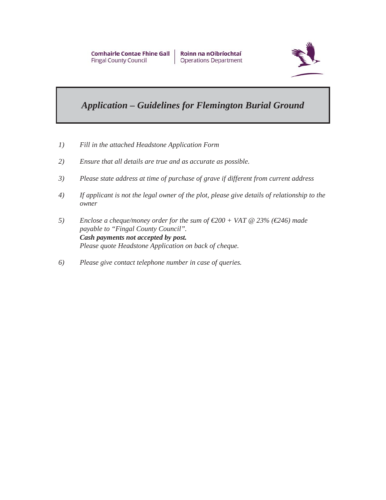

# *Application – Guidelines for Flemington Burial Ground*

- *1) Fill in the attached Headstone Application Form*
- *2) Ensure that all details are true and as accurate as possible.*
- *3) Please state address at time of purchase of grave if different from current address*
- *4) If applicant is not the legal owner of the plot, please give details of relationship to the owner*
- *5) Enclose a cheque/money order for the sum of €200 + VAT @ 23% (€246) made payable to "Fingal County Council". Cash payments not accepted by post. Please quote Headstone Application on back of cheque.*
- *6) Please give contact telephone number in case of queries.*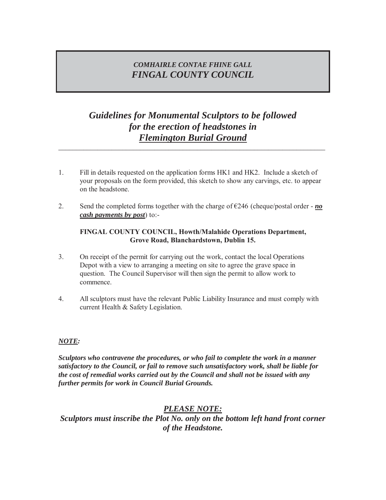## *COMHAIRLE CONTAE FHINE GALL FINGAL COUNTY COUNCIL*

# *Guidelines for Monumental Sculptors to be followed for the erection of headstones in Flemington Burial Ground*

*\_\_\_\_\_\_\_\_\_\_\_\_\_\_\_\_\_\_\_\_\_\_\_\_\_\_\_\_\_\_\_\_\_\_\_\_\_\_\_\_\_\_\_\_\_\_\_\_\_\_\_\_\_\_\_\_\_\_\_\_\_\_\_\_\_\_\_\_\_\_\_\_\_\_\_* 

- 1. Fill in details requested on the application forms HK1 and HK2. Include a sketch of your proposals on the form provided, this sketch to show any carvings, etc. to appear on the headstone.
- 2. Send the completed forms together with the charge of  $\epsilon$ 246 (cheque/postal order *no cash payments by post*) to:-

#### **FINGAL COUNTY COUNCIL, Howth/Malahide Operations Department, Grove Road, Blanchardstown, Dublin 15.**

- 3. On receipt of the permit for carrying out the work, contact the local Operations Depot with a view to arranging a meeting on site to agree the grave space in question. The Council Supervisor will then sign the permit to allow work to commence.
- 4. All sculptors must have the relevant Public Liability Insurance and must comply with current Health & Safety Legislation.

#### *NOTE:*

*Sculptors who contravene the procedures, or who fail to complete the work in a manner satisfactory to the Council, or fail to remove such unsatisfactory work, shall be liable for the cost of remedial works carried out by the Council and shall not be issued with any further permits for work in Council Burial Grounds.* 

### *PLEASE NOTE:*

*Sculptors must inscribe the Plot No. only on the bottom left hand front corner of the Headstone.*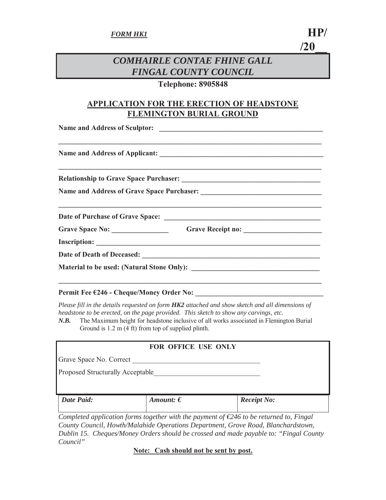# *COMHAIRLE CONTAE FHINE GALL FINGAL COUNTY COUNCIL*

### **Telephone: 8905848**

## **APPLICATION FOR THE ERECTION OF HEADSTONE FLEMINGTON BURIAL GROUND**

| Grave Space No: ___________________________Grave Receipt no: ____________________ |  |
|-----------------------------------------------------------------------------------|--|
|                                                                                   |  |
|                                                                                   |  |
|                                                                                   |  |

#### Permit Fee €246 - Cheque/Money Order No:

*Please fill in the details requested on form HK2 attached and show sketch and all dimensions of headstone to be erected, on the page provided. This sketch to show any carvings, etc.* 

*N.B.* The Maximum height for headstone inclusive of all works associated in Flemington Burial Ground is 1.2 m (4 ft) from top of supplied plinth.

| FOR OFFICE USE ONLY                     |                    |                                                                                                   |  |  |
|-----------------------------------------|--------------------|---------------------------------------------------------------------------------------------------|--|--|
| Grave Space No. Correct                 |                    |                                                                                                   |  |  |
| <b>Proposed Structurally Acceptable</b> |                    |                                                                                                   |  |  |
| <b>Date Paid:</b>                       | Amount: $\epsilon$ | <b>Receipt No:</b>                                                                                |  |  |
|                                         |                    | Completed application forms together with the payment of $\epsilon$ 246 to be returned to. Fingul |  |  |

*Completed application forms together with the payment of €246 to be returned to, Fingal County Council, Howth/Malahide Operations Department, Grove Road, Blanchardstown, Dublin 15. Cheques/Money Orders should be crossed and made payable to: "Fingal County Council"* 

**Note: Cash should not be sent by post.**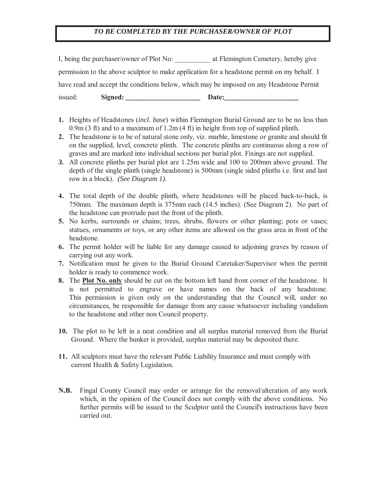#### *TO BE COMPLETED BY THE PURCHASER/OWNER OF PLOT*

I, being the purchaser/owner of Plot No: <br> at Flemington Cemetery, hereby give permission to the above sculptor to make application for a headstone permit on my behalf. I have read and accept the conditions below, which may be imposed on any Headstone Permit issued: Signed: Date:

- **1.** Heights of Headstones (*incl. base*) within Flemington Burial Ground are to be no less than 0.9m (3 ft) and to a maximum of 1.2m (4 ft) in height from top of supplied plinth.
- **2.** The headstone is to be of natural stone only, viz. marble, limestone or granite and should fit on the supplied, level, concrete plinth. The concrete plinths are continuous along a row of graves and are marked into individual sections per burial plot. Fixings are not supplied.
- *3.* All concrete plinths per burial plot are 1.25m wide and 100 to 200mm above ground. The depth of the single plinth (single headstone) is 500mm (single sided plinths i.e. first and last row in a block). *(See Diagram 1).*
- **4.** The total depth of the double plinth, where headstones will be placed back-to-back, is 750mm. The maximum depth is 375mm each (14.5 inches). (See Diagram 2). No part of the headstone can protrude past the front of the plinth.
- **5.** No kerbs, surrounds or chains; trees, shrubs, flowers or other planting; pots or vases; statues, ornaments or toys, or any other items are allowed on the grass area in front of the headstone.
- **6.** The permit holder will be liable for any damage caused to adjoining graves by reason of carrying out any work.
- **7.** Notification must be given to the Burial Ground Caretaker/Supervisor when the permit holder is ready to commence work.
- **8.** The **Plot No. only** should be cut on the bottom left hand front corner of the headstone. It is not permitted to engrave or have names on the back of any headstone. This permission is given only on the understanding that the Council will, under no circumstances, be responsible for damage from any cause whatsoever including vandalism to the headstone and other non Council property.
- **10.** The plot to be left in a neat condition and all surplus material removed from the Burial Ground. Where the bunker is provided, surplus material may be deposited there.
- **11.** All sculptors must have the relevant Public Liability Insurance and must comply with current Health & Safety Legislation.
- **N.B.** Fingal County Council may order or arrange for the removal/alteration of any work which, in the opinion of the Council does not comply with the above conditions. No further permits will be issued to the Sculptor until the Council's instructions have been carried out.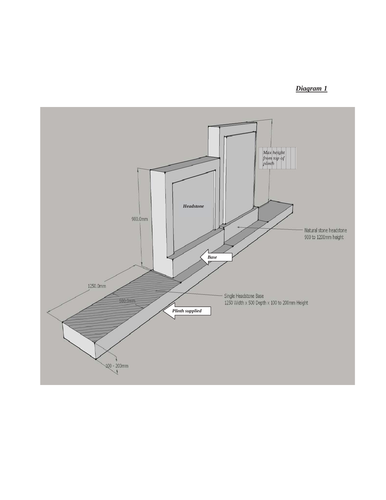## *Diagram 1*

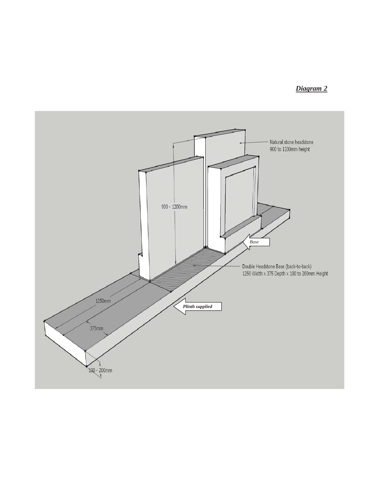## *Diagram 2*

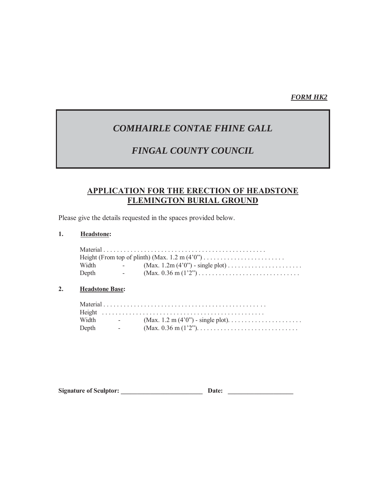### *FORM HK2*

# *COMHAIRLE CONTAE FHINE GALL*

## *FINGAL COUNTY COUNCIL*

### **APPLICATION FOR THE ERECTION OF HEADSTONE FLEMINGTON BURIAL GROUND**

Please give the details requested in the spaces provided below.

#### **1. Headstone:**

| Width | <b>Service</b>    | $(Max. 1.2m (4'0'') - single plot) \dots \dots \dots \dots \dots \dots$ |
|-------|-------------------|-------------------------------------------------------------------------|
| Depth | $\sim$ 100 $\sim$ |                                                                         |

#### **2. Headstone Base:**

| Width | <b>Contract Contract</b> |  |
|-------|--------------------------|--|
| Depth | <b>Contract Contract</b> |  |

| <b>Signature of Sculptor:</b><br>Date: |  |
|----------------------------------------|--|
|----------------------------------------|--|